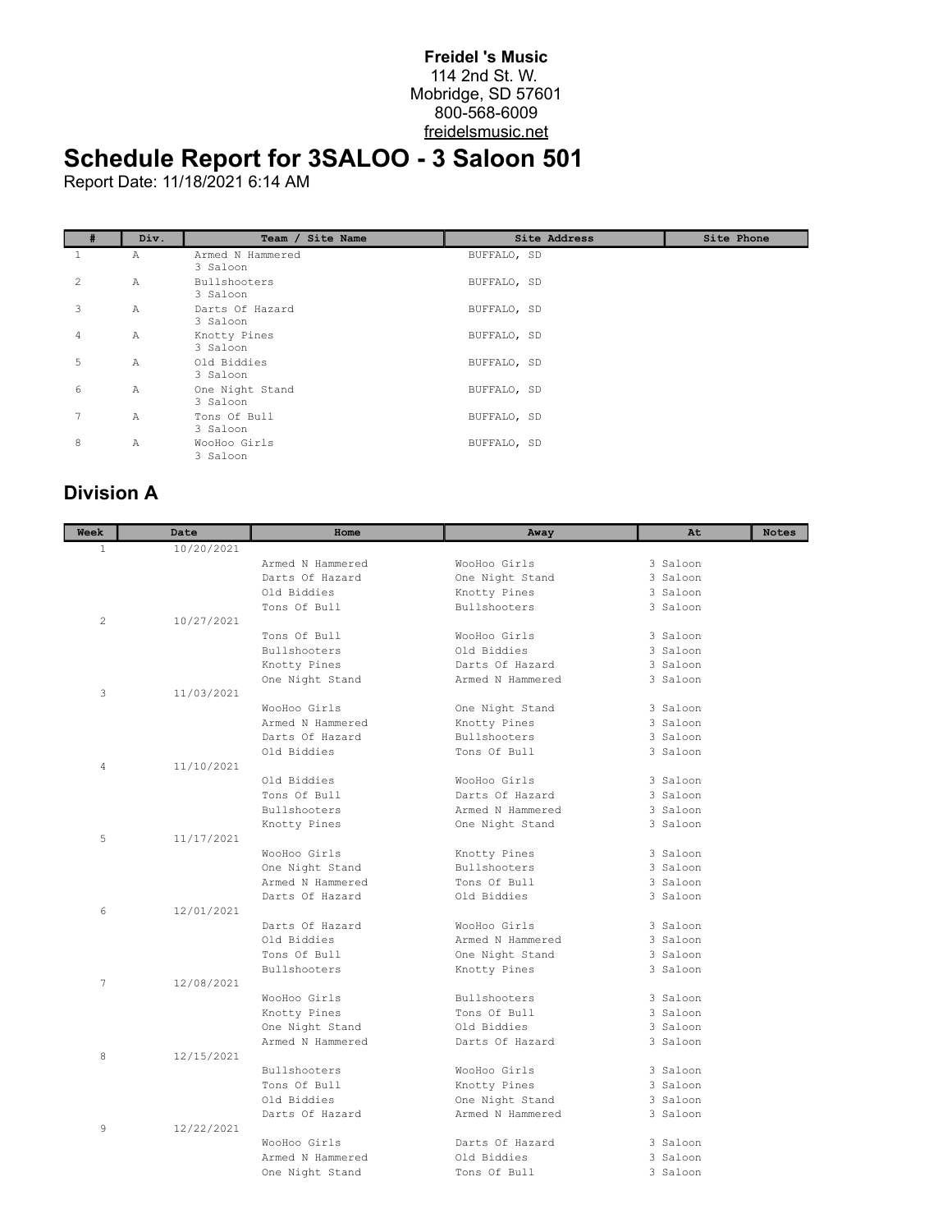## **Freidel 's Music** 114 2nd St. W. Mobridge, SD 57601 800-568-6009 freidelsmusic.net

## **Schedule Report for 3SALOO - 3 Saloon 501**

Report Date: 11/18/2021 6:14 AM

|   | Div.         | Team / Site Name             | Site Address | Site Phone |
|---|--------------|------------------------------|--------------|------------|
|   | Α            | Armed N Hammered<br>3 Saloon | BUFFALO, SD  |            |
| 2 | Α            | Bullshooters<br>3 Saloon     | BUFFALO, SD  |            |
| 3 | Α            | Darts Of Hazard<br>3 Saloon  | BUFFALO, SD  |            |
| 4 | Α            | Knotty Pines<br>3 Saloon     | BUFFALO, SD  |            |
| 5 | $\mathbb{A}$ | Old Biddies<br>3 Saloon      | BUFFALO, SD  |            |
| 6 | Α            | One Night Stand<br>3 Saloon  | BUFFALO, SD  |            |
| 7 | $\mathbb{A}$ | Tons Of Bull<br>3 Saloon     | BUFFALO, SD  |            |
| 8 | A            | WooHoo Girls<br>3 Saloon     | BUFFALO, SD  |            |

## **Division A**

| <b>Week</b>    | Date       | Home             | Away             | At       | <b>Notes</b> |
|----------------|------------|------------------|------------------|----------|--------------|
| $\mathbf{1}$   | 10/20/2021 |                  |                  |          |              |
|                |            | Armed N Hammered | WooHoo Girls     | 3 Saloon |              |
|                |            | Darts Of Hazard  | One Night Stand  | 3 Saloon |              |
|                |            | Old Biddies      | Knotty Pines     | 3 Saloon |              |
|                |            | Tons Of Bull     | Bullshooters     | 3 Saloon |              |
| $\overline{2}$ | 10/27/2021 |                  |                  |          |              |
|                |            | Tons Of Bull     | WooHoo Girls     | 3 Saloon |              |
|                |            | Bullshooters     | Old Biddies      | 3 Saloon |              |
|                |            | Knotty Pines     | Darts Of Hazard  | 3 Saloon |              |
|                |            | One Night Stand  | Armed N Hammered | 3 Saloon |              |
| 3              | 11/03/2021 |                  |                  |          |              |
|                |            | WooHoo Girls     | One Night Stand  | 3 Saloon |              |
|                |            | Armed N Hammered | Knotty Pines     | 3 Saloon |              |
|                |            | Darts Of Hazard  | Bullshooters     | 3 Saloon |              |
|                |            | Old Biddies      | Tons Of Bull     | 3 Saloon |              |
| 4              | 11/10/2021 |                  |                  |          |              |
|                |            | Old Biddies      | WooHoo Girls     | 3 Saloon |              |
|                |            | Tons Of Bull     | Darts Of Hazard  | 3 Saloon |              |
|                |            | Bullshooters     | Armed N Hammered | 3 Saloon |              |
|                |            | Knotty Pines     | One Night Stand  | 3 Saloon |              |
| 5              | 11/17/2021 |                  |                  |          |              |
|                |            | WooHoo Girls     | Knotty Pines     | 3 Saloon |              |
|                |            | One Night Stand  | Bullshooters     | 3 Saloon |              |
|                |            | Armed N Hammered | Tons Of Bull     | 3 Saloon |              |
|                |            | Darts Of Hazard  | Old Biddies      | 3 Saloon |              |
| 6              | 12/01/2021 |                  |                  |          |              |
|                |            | Darts Of Hazard  | WooHoo Girls     | 3 Saloon |              |
|                |            | Old Biddies      | Armed N Hammered | 3 Saloon |              |
|                |            | Tons Of Bull     | One Night Stand  | 3 Saloon |              |
|                |            | Bullshooters     | Knotty Pines     | 3 Saloon |              |
| 7              | 12/08/2021 |                  |                  |          |              |
|                |            | WooHoo Girls     | Bullshooters     | 3 Saloon |              |
|                |            | Knotty Pines     | Tons Of Bull     | 3 Saloon |              |
|                |            | One Night Stand  | Old Biddies      | 3 Saloon |              |
|                |            | Armed N Hammered | Darts Of Hazard  | 3 Saloon |              |
| 8              | 12/15/2021 |                  |                  |          |              |
|                |            | Bullshooters     | WooHoo Girls     | 3 Saloon |              |
|                |            | Tons Of Bull     | Knotty Pines     | 3 Saloon |              |
|                |            | Old Biddies      | One Night Stand  | 3 Saloon |              |
|                |            | Darts Of Hazard  | Armed N Hammered | 3 Saloon |              |
| 9              | 12/22/2021 |                  |                  |          |              |
|                |            | WooHoo Girls     | Darts Of Hazard  | 3 Saloon |              |
|                |            | Armed N Hammered | Old Biddies      | 3 Saloon |              |
|                |            | One Night Stand  | Tons Of Bull     | 3 Saloon |              |